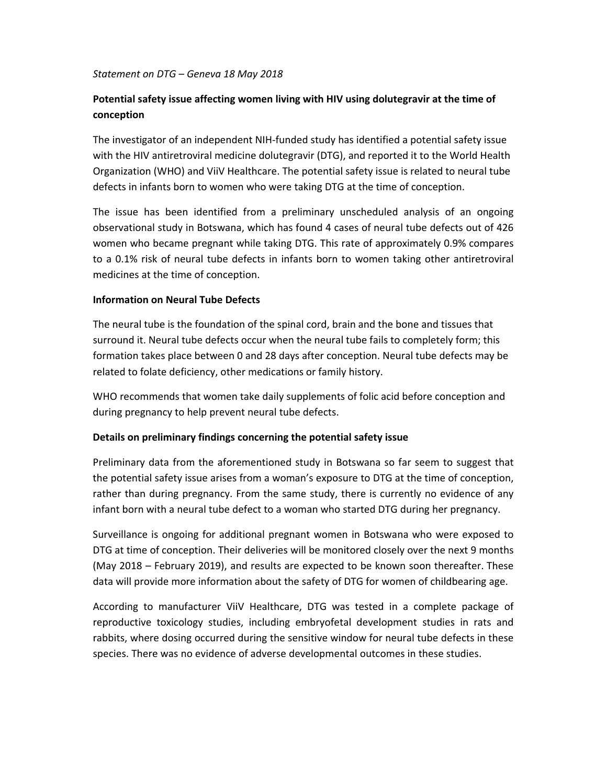#### *Statement on DTG – Geneva 18 May 2018*

# **Potential safety issue affecting women living with HIV using dolutegravir at the time of conception**

The investigator of an independent NIH‐funded study has identified a potential safety issue with the HIV antiretroviral medicine dolutegravir (DTG), and reported it to the World Health Organization (WHO) and ViiV Healthcare. The potential safety issue is related to neural tube defects in infants born to women who were taking DTG at the time of conception.

The issue has been identified from a preliminary unscheduled analysis of an ongoing observational study in Botswana, which has found 4 cases of neural tube defects out of 426 women who became pregnant while taking DTG. This rate of approximately 0.9% compares to a 0.1% risk of neural tube defects in infants born to women taking other antiretroviral medicines at the time of conception.

### **Information on Neural Tube Defects**

The neural tube is the foundation of the spinal cord, brain and the bone and tissues that surround it. Neural tube defects occur when the neural tube fails to completely form; this formation takes place between 0 and 28 days after conception. Neural tube defects may be related to folate deficiency, other medications or family history.

WHO recommends that women take daily supplements of folic acid before conception and during pregnancy to help prevent neural tube defects.

### **Details on preliminary findings concerning the potential safety issue**

Preliminary data from the aforementioned study in Botswana so far seem to suggest that the potential safety issue arises from a woman's exposure to DTG at the time of conception, rather than during pregnancy. From the same study, there is currently no evidence of any infant born with a neural tube defect to a woman who started DTG during her pregnancy.

Surveillance is ongoing for additional pregnant women in Botswana who were exposed to DTG at time of conception. Their deliveries will be monitored closely over the next 9 months (May 2018 – February 2019), and results are expected to be known soon thereafter. These data will provide more information about the safety of DTG for women of childbearing age.

According to manufacturer ViiV Healthcare, DTG was tested in a complete package of reproductive toxicology studies, including embryofetal development studies in rats and rabbits, where dosing occurred during the sensitive window for neural tube defects in these species. There was no evidence of adverse developmental outcomes in these studies.